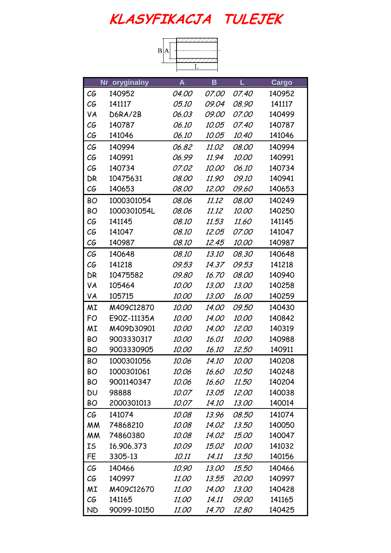| B A |  |  |
|-----|--|--|
|     |  |  |
|     |  |  |
|     |  |  |

|           | Nr_oryginalny | A            | B            | L            | Cargo  |
|-----------|---------------|--------------|--------------|--------------|--------|
| СG        | 140952        | <i>04.00</i> | <i>07.00</i> | <i>07.40</i> | 140952 |
| СG        | 141117        | <i>05.10</i> | 09.04        | 08.90        | 141117 |
| VA        | D6RA/2B       | 06.03        | <i>09.00</i> | <i>07.00</i> | 140499 |
| СG        | 140787        | <i>06.10</i> | 10.05        | <i>07.40</i> | 140787 |
| СG        | 141046        | <i>06.10</i> | 10.05        | <i>10.40</i> | 141046 |
| C G       | 140994        | 06.82        | 11.02        | 08.00        | 140994 |
| C G       | 140991        | 06.99        | 11.94        | 10.00        | 140991 |
| СG        | 140734        | <i>07.02</i> | <i>10.00</i> | <i>06.10</i> | 140734 |
| DR        | 10475631      | 08.00        | 11.90        | <i>09.10</i> | 140941 |
| СG        | 140653        | 08.00        | <i>12.00</i> | <i>09.60</i> | 140653 |
| BO        | 1000301054    | 08.06        | 11.12        | 08.00        | 140249 |
| <b>BO</b> | 1000301054L   | 08.06        | 11.12        | 10.00        | 140250 |
| СG        | 141145        | <i>08.10</i> | 11.53        | 11.60        | 141145 |
| СG        | 141047        | <i>08.10</i> | 12.05        | <i>07.00</i> | 141047 |
| СG        | 140987        | <i>08.10</i> | 12.45        | <i>10.00</i> | 140987 |
| СG        | 140648        | 08.10        | 13.10        | 08.30        | 140648 |
| C G       | 141218        | 09.53        | 14.37        | 09.53        | 141218 |
| DR        | 10475582      | <i>09.80</i> | <i>16.70</i> | 08.00        | 140940 |
| VA        | 105464        | <i>10.00</i> | 13.00        | <i>13.00</i> | 140258 |
| VA        | 105715        | <i>10.00</i> | <i>13.00</i> | 16.00        | 140259 |
| ΜI        | M409C12870    | 10.00        | <i>14.00</i> | <i>09.50</i> | 140430 |
| FO        | E90Z-11135A   | 10.00        | 14.00        | 10.00        | 140842 |
| ΜI        | M409D30901    | <i>10.00</i> | <i>14.00</i> | 12.00        | 140319 |
| BO        | 9003330317    | <i>10.00</i> | 16.01        | <i>10.00</i> | 140988 |
| ВO        | 9003330905    | <i>10.00</i> | <i>16.10</i> | 12.50        | 140911 |
| ВO        | 1000301056    | 10.06        | 14.10        | 10.00        | 140208 |
| BО        | 1000301061    | 10.06        | 16.60        | 10.50        | 140248 |
| BO        | 9001140347    | 10.06        | 16.60        | 11.50        | 140204 |
| DU        | 98888         | 10.07        | 13.05        | 12.00        | 140038 |
| BO        | 2000301013    | 10.07        | 14.10        | 13.00        | 140014 |
| C G       | 141074        | 10.08        | 13.96        | <i>08.50</i> | 141074 |
| <b>MM</b> | 74868210      | 10.08        | 14.02        | 13.50        | 140050 |
| МM        | 74860380      | 10.08        | 14.02        | <i>15.00</i> | 140047 |
| IS        | 16.906.373    | 10.09        | 15.02        | 10.00        | 141032 |
| FE        | 3305-13       | 10.11        | 14.11        | 13.50        | 140156 |
| СG        | 140466        | 10.90        | 13.00        | 15.50        | 140466 |
| СG        | 140997        | 11.00        | 13.55        | 20.00        | 140997 |
| MI        | M409C12670    | <i>11.00</i> | 14.00        | 13.00        | 140428 |
| СG        | 141165        | <i>11.00</i> | 14.11        | 09.00        | 141165 |
| <b>ND</b> | 90099-10150   | <i>11.00</i> | <i>14.70</i> | 12.80        | 140425 |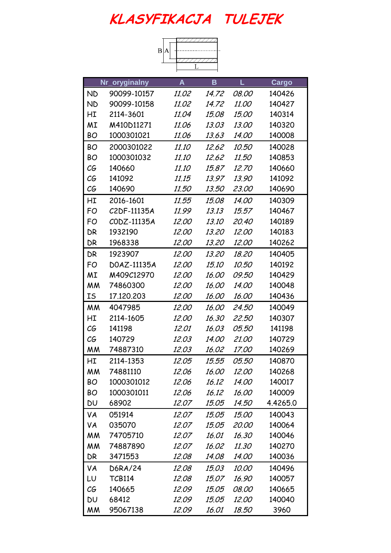|           |                          | $\vert$ B<br>А |              |              |          |
|-----------|--------------------------|----------------|--------------|--------------|----------|
|           |                          |                |              |              |          |
|           | Nr_oryginalny            | A              | B            | Г            | Cargo    |
| <b>ND</b> | 90099-10157              | <i>11.02</i>   | 14.72        | <i>08.00</i> | 140426   |
| <b>ND</b> | 90099-10158              | <i>11.02</i>   | 14.72        | <i>11.00</i> | 140427   |
| НI        | 2114-3601                | 11.04          | 15.08        | <i>15.00</i> | 140314   |
| ΜI        | M410D11271               | 11.06          | 13.03        | 13.00        | 140320   |
| BО        | 1000301021               | 11.06          | 13.63        | <i>14.00</i> | 140008   |
| <b>BO</b> | 2000301022               | 11.10          | 12.62        | 10.50        | 140028   |
| <b>BO</b> | 1000301032               | <i>11.10</i>   | 12.62        | <i>11.50</i> | 140853   |
| C G       | 140660                   | <i>11.10</i>   | 15.87        | 12.70        | 140660   |
| CG        | 141092                   | 11.15          | 13.97        | 13.90        | 141092   |
| СG        | 140690                   | <i>11.50</i>   | 13.50        | 23.00        | 140690   |
| НI        | 2016-1601                | 11.55          | 15.08        | 14.00        | 140309   |
| FO        | C <sub>2</sub> DF-11135A | 11.99          | 13.13        | 15.57        | 140467   |
| FO        | CODZ-11135A              | 12.00          | 13.10        | 20,40        | 140189   |
| DR        | 1932190                  | <i>12.00</i>   | <i>13,20</i> | <i>12.00</i> | 140183   |
| DR        | 1968338                  | <i>12.00</i>   | 13.20        | <i>12.00</i> | 140262   |
| DR        | 1923907                  | 12.00          | 13,20        | 18.20        | 140405   |
| FO        | DOAZ-11135A              | 12.00          | <i>15,10</i> | 10.50        | 140192   |
| MI        | M409C12970               | 12.00          | 16.00        | <i>09.50</i> | 140429   |
| МM        | 74860300                 | <i>12.00</i>   | <i>16.00</i> | <i>14.00</i> | 140048   |
| IS        | 17.120.203               | <i>12.00</i>   | 16.00        | <i>16.00</i> | 140436   |
| МM        | 4047985                  | <i>12.00</i>   | <i>16.00</i> | <i>24.50</i> | 140049   |
| НI        | 2114-1605                | <i>12.00</i>   | 16.30        | 22.50        | 140307   |
| СG        | 141198                   | <i>12.01</i>   | 16.03        | <i>05.50</i> | 141198   |
| СG        | 140729                   | 12.03          | 14.00        | 21.00        | 140729   |
| МM        | 74887310                 | 12.03          | 16.02        | <i>17.00</i> | 140269   |
| НI        | 2114-1353                | 12.05          | 15.55        | <i>05.50</i> | 140870   |
| МM        | 74881110                 | 12.06          | 16.00        | 12.00        | 140268   |
| BO        | 1000301012               | 12.06          | 16.12        | <i>14.00</i> | 140017   |
| BO        | 1000301011               | 12.06          | 16.12        | 16.00        | 140009   |
| DU        | 68902                    | 12.07          | 15.05        | 14.50        | 4.4265.0 |
| VA        | 051914                   | 12.07          | 15.05        | <i>15.00</i> | 140043   |
| VA        | 035070                   | 12.07          | 15.05        | 20.00        | 140064   |
| <b>MM</b> | 74705710                 | <i>12.07</i>   | 16.01        | 16.30        | 140046   |
| МM        | 74887890                 | <i>12.07</i>   | 16.02        | 11.30        | 140270   |
| DR        | 3471553                  | 12.08          | 14.08        | <i>14.00</i> | 140036   |
| VA        | D6RA/24                  | 12.08          | 15.03        | 10.00        | 140496   |
| LU        | <b>TCB114</b>            | 12.08          | 15.07        | 16.90        | 140057   |
| СG        | 140665                   | 12.09          | 15.05        | <i>08.00</i> | 140665   |
| DU        | 68412                    | 12.09          | 15.05        | 12.00        | 140040   |

MM 95067138 12.09 16.01 18.50 3960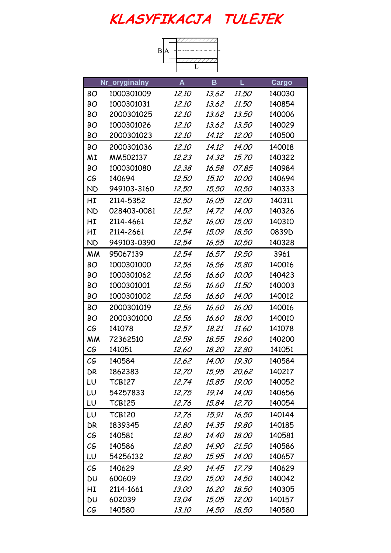|           |               | $\, {\bf B}$<br>А |              |              |        |
|-----------|---------------|-------------------|--------------|--------------|--------|
|           |               |                   |              |              |        |
|           |               |                   |              |              |        |
|           | Nr_oryginalny | A                 | B            | L            | Cargo  |
| <b>BO</b> | 1000301009    | <i>12.10</i>      | 13.62        | <i>11.50</i> | 140030 |
| BO        | 1000301031    | <i>12.10</i>      | 13.62        | 11.50        | 140854 |
| <b>BO</b> | 2000301025    | <i>12.10</i>      | 13.62        | 13.50        | 140006 |
| ВO        | 1000301026    | <i>12.10</i>      | 13.62        | 13.50        | 140029 |
| BO        | 2000301023    | <i>12.10</i>      | 14.12        | <i>12.00</i> | 140500 |
| BO        | 2000301036    | <i>12.10</i>      | 14.12        | <i>14.00</i> | 140018 |
| ΜI        | MM502137      | 12.23             | 14.32        | 15.70        | 140322 |
| BO        | 1000301080    | 12.38             | 16.58        | 07.85        | 140984 |
| СG        | 140694        | <i>12.50</i>      | 15.10        | 10.00        | 140694 |
| <b>ND</b> | 949103-3160   | <i>12.50</i>      | <i>15.50</i> | 10.50        | 140333 |
| НI        | 2114-5352     | 12.50             | 16.05        | 12.00        | 140311 |
| <b>ND</b> | 028403-0081   | 12.52             | 14.72        | 14.00        | 140326 |
| НI        | 2114-4661     | 12.52             | 16.00        | <i>15.00</i> | 140310 |
| НI        | 2114-2661     | 12.54             | 15.09        | 18.50        | 0839D  |
| <b>ND</b> | 949103-0390   | 12.54             | 16.55        | <i>10.50</i> | 140328 |
| МM        | 95067139      | 12.54             | 16.57        | 19.50        | 3961   |
| BO        | 1000301000    | 12.56             | 16.56        | <i>15.80</i> | 140016 |
| ВO        | 1000301062    | 12.56             | 16.60        | 10.00        | 140423 |
| BO        | 1000301001    | 12.56             | 16.60        | <i>11.50</i> | 140003 |
| <b>BO</b> | 1000301002    | 12.56             | 16.60        | <i>14.00</i> | 140012 |
| BO        | 2000301019    | 12.56             | 16.60        | 16.00        | 140016 |
| ВO        | 2000301000    | 12.56             | 16.60        | <i>18.00</i> | 140010 |
| СG        | 141078        | 12.57             | 18.21        | 11.60        | 141078 |
| МM        | 72362510      | 12.59             | 18,55        | <i>19.60</i> | 140200 |
| CG        | 141051        | <i>12.60</i>      | 18.20        | 12.80        | 141051 |
| СG        | 140584        | 12.62             | 14.00        | 19.30        | 140584 |
| DR        | 1862383       | 12.70             | 15.95        | 20.62        | 140217 |
| LU        | <b>TCB127</b> | 12.74             | 15.85        | 19.00        | 140052 |
| LU        | 54257833      | 12.75             | 19.14        | <i>14.00</i> | 140656 |
| LU        | <b>TCB125</b> | 12.76             | 15.84        | 12.70        | 140054 |
| LU        | <b>TCB120</b> | 12.76             | 15.91        | 16.50        | 140144 |
| DR        | 1839345       | 12.80             | 14.35        | 19.80        | 140185 |
| СG        | 140581        | 12.80             | 14.40        | 18.00        | 140581 |
| СG        | 140586        | 12.80             | 14.90        | 21.50        | 140586 |
| LU        | 54256132      | 12.80             | 15,95        | 14.00        | 140657 |
| C G       | 140629        | 12.90             | 14.45        | 17.79        | 140629 |
| DU        | 600609        | 13.00             | <i>15.00</i> | <i>14.50</i> | 140042 |
| НI        | 2114-1661     | <i>13.00</i>      | 16.20        | 18.50        | 140305 |
| DU        | 602039        | 13.04             | 15.05        | <i>12.00</i> | 140157 |
| СG        | 140580        | <i>13.10</i>      | 14.50        | 18.50        | 140580 |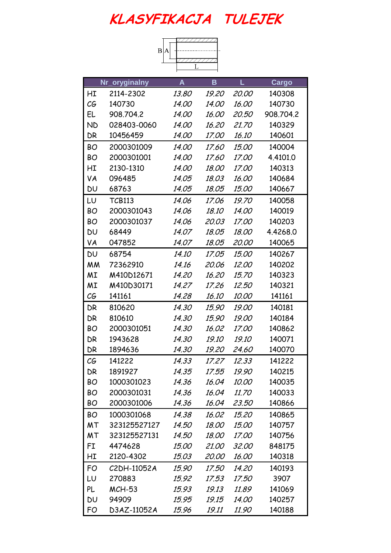|           |               | B            |              |              |           |
|-----------|---------------|--------------|--------------|--------------|-----------|
|           |               |              |              |              |           |
|           |               |              |              |              |           |
|           | Nr_oryginalny | A            | B            | L            | Cargo     |
| НI        | 2114-2302     | 13.80        | 19.20        | 20.00        | 140308    |
| СG        | 140730        | 14.00        | <i>14.00</i> | 16.00        | 140730    |
| EL        | 908.704.2     | 14.00        | <i>16.00</i> | 20.50        | 908.704.2 |
| <b>ND</b> | 028403-0060   | <i>14.00</i> | 16.20        | 21.70        | 140329    |
| DR        | 10456459      | <i>14.00</i> | 17.00        | 16.10        | 140601    |
| BO        | 2000301009    | <i>14.00</i> | <i>17.60</i> | <i>15.00</i> | 140004    |
| <b>BO</b> | 2000301001    | 14.00        | <i>17.60</i> | 17.00        | 4.4101.0  |
| НI        | 2130-1310     | <i>14.00</i> | 18.00        | 17.00        | 140313    |
| VA        | 096485        | 14.05        | 18.03        | 16.00        | 140684    |
| DU        | 68763         | 14.05        | 18.05        | <i>15.00</i> | 140667    |
| LU        | <b>TCB113</b> | 14.06        | 17.06        | 19.70        | 140058    |
| <b>BO</b> | 2000301043    | 14.06        | 18.10        | 14.00        | 140019    |
| <b>BO</b> | 2000301037    | 14.06        | 20.03        | <i>17.00</i> | 140203    |
| <b>DU</b> | 68449         | 14.07        | 18.05        | 18.00        | 4.4268.0  |
| VA        | 047852        | 14.07        | 18.05        | <i>20.00</i> | 140065    |
| <b>DU</b> | 68754         | 14.10        | 17.05        | 15.00        | 140267    |
| <b>MM</b> | 72362910      | 14.16        | 20.06        | 12.00        | 140202    |
| ΜI        | M410D12671    | 14.20        | 16.20        | <i>15,70</i> | 140323    |
| ΜI        | M410D30171    | 14.27        | 17.26        | 12.50        | 140321    |
| СG        | 141161        | 14.28        | 16.10        | <i>10.00</i> | 141161    |
| DR        | 810620        | 14.30        | 15.90        | 19.00        | 140181    |
| DR        | 810610        | 14.30        | 15.90        | 19.00        | 140184    |
| BО        | 2000301051    | 14.30        | 16.02        | <i>17.00</i> | 140862    |
| DR        | 1943628       | 14.30        | 19.10        | <i>19.10</i> | 140071    |
| DR        | 1894636       | 14.30        | 19.20        | 24.60        | 140070    |
| C G       | 141222        | 14.33        | 17.27        | 12.33        | 141222    |
| DR        | 1891927       | 14.35        | 17.55        | 19.90        | 140215    |
| BO        | 1000301023    | 14.36        | 16.04        | 10.00        | 140035    |
| BO        | 2000301031    | 14.36        | 16.04        | <i>11.70</i> | 140033    |
| BO        | 2000301006    | 14.36        | 16.04        | 23.50        | 140866    |
| <b>BO</b> | 1000301068    | 14.38        | 16.02        | <i>15,20</i> | 140865    |
| MT        | 323125527127  | 14.50        | 18.00        | 15.00        | 140757    |
| МT        | 323125527131  | 14.50        | <i>18.00</i> | <i>17.00</i> | 140756    |
| FI        | 4474628       | <i>15.00</i> | 21.00        | 32.00        | 848175    |
| НI        | 2120-4302     | 15.03        | 20.00        | <i>16.00</i> | 140318    |
| FO        | C2DH-11052A   | 15.90        | <i>17.50</i> | <i>14.20</i> | 140193    |
| LU        | 270883        | 15.92        | 17.53        | <i>17.50</i> | 3907      |
| PL        | <b>MCH-53</b> | 15.93        | 19.13        | 11.89        | 141069    |

DU 94909 15.95 19.15 14.00 140257 FO D3AZ-11052A 15.96 19.11 11.90 140188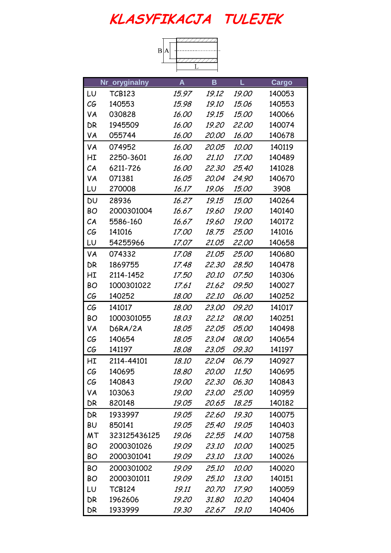|           |               | $\vert \mathbf{B} \vert$ |              |              |        |
|-----------|---------------|--------------------------|--------------|--------------|--------|
|           |               |                          |              |              |        |
|           |               |                          |              |              |        |
|           | Nr_oryginalny | A                        | B            | L            | Cargo  |
| LU        | <b>TCB123</b> | 15.97                    | 19.12        | 19.00        | 140053 |
| C G       | 140553        | 15.98                    | <i>19.10</i> | 15.06        | 140553 |
| VA        | 030828        | 16.00                    | 19.15        | <i>15.00</i> | 140066 |
| DR        | 1945509       | 16.00                    | 19.20        | 22.00        | 140074 |
| VA        | 055744        | 16.00                    | 20.00        | 16.00        | 140678 |
| VA        | 074952        | 16.00                    | 20.05        | 10.00        | 140119 |
| НI        | 2250-3601     | 16.00                    | 21.10        | <i>17.00</i> | 140489 |
| CA        | 6211-726      | 16.00                    | 22.30        | 25.40        | 141028 |
| VA        | 071381        | 16.05                    | 20.04        | 24.90        | 140670 |
| LU        | 270008        | 16.17                    | 19.06        | 15.00        | 3908   |
| <b>DU</b> | 28936         | 16.27                    | 19.15        | 15.00        | 140264 |
| <b>BO</b> | 2000301004    | 16.67                    | 19.60        | 19.00        | 140140 |
| CA        | 5586-160      | 16.67                    | 19.60        | 19.00        | 140172 |
| СG        | 141016        | <i>17.00</i>             | 18.75        | 25.00        | 141016 |
| LU        | 54255966      | <i>17.07</i>             | 21.05        | <i>22.00</i> | 140658 |
| VA        | 074332        | 17.08                    | 21.05        | 25.00        | 140680 |
| DR        | 1869755       | 17.48                    | 22.30        | 28.50        | 140478 |
| НI        | 2114-1452     | <i>17.50</i>             | <i>20.10</i> | <i>07.50</i> | 140306 |
| BO        | 1000301022    | 17.61                    | 21.62        | <i>09.50</i> | 140027 |
| СG        | 140252        | 18.00                    | <i>22.10</i> | <i>06.00</i> | 140252 |
| СG        | 141017        | 18.00                    | 23.00        | <i>09.20</i> | 141017 |
| BO        | 1000301055    | 18.03                    | 22.12        | 08.00        | 140251 |
| VA        | D6RA/2A       | 18.05                    | 22.05        | <i>05.00</i> | 140498 |
| СG        | 140654        | 18.05                    | 23.04        | <i>08.00</i> | 140654 |
| C G       | 141197        | 18.08                    | 23.05        | 09.30        | 141197 |
| HI        | 2114-44101    | 18.10                    | 22.04        | 06.79        | 140927 |
| C G       | 140695        | 18.80                    | 20.00        | <i>11.50</i> | 140695 |
| СG        | 140843        | 19.00                    | 22.30        | <i>06.30</i> | 140843 |
| VA        | 103063        | <i>19.00</i>             | 23.00        | 25.00        | 140959 |
| DR        | 820148        | 19.05                    | 20.65        | 18.25        | 140182 |
| DR        | 1933997       | 19.05                    | 22.60        | 19.30        | 140075 |
| <b>BU</b> | 850141        | 19.05                    | 25.40        | 19.05        | 140403 |
| MT        | 323125436125  | 19.06                    | 22.55        | <i>14.00</i> | 140758 |
| BO        | 2000301026    | 19.09                    | 23.10        | 10.00        | 140025 |
| <b>BO</b> | 2000301041    | 19.09                    | 23.10        | <i>13.00</i> | 140026 |
| <b>BO</b> | 2000301002    | 19.09                    | 25.10        | 10.00        | 140020 |
| <b>BO</b> | 2000301011    | 19.09                    | 25.10        | 13.00        | 140151 |
| LU        | <b>TCB124</b> | 19.11                    | 20,70        | <i>17.90</i> | 140059 |
| DR        | 1962606       | 19.20                    | 31.80        | <i>10.20</i> | 140404 |
| DR        | 1933999       | 19.30                    | 22.67        | 19.10        | 140406 |
|           |               |                          |              |              |        |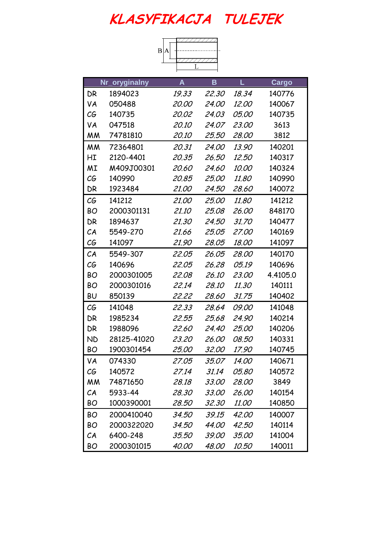| B A |  |
|-----|--|
|     |  |
|     |  |

|           | Nr_oryginalny | $\boldsymbol{A}$ | B            | L            | Cargo    |
|-----------|---------------|------------------|--------------|--------------|----------|
| DR        | 1894023       | 19.33            | 22.30        | 18.34        | 140776   |
| VA        | 050488        | <i>20.00</i>     | <i>24.00</i> | <i>12.00</i> | 140067   |
| СG        | 140735        | 20.02            | 24.03        | <i>05.00</i> | 140735   |
| VA        | 047518        | <i>20.10</i>     | 24.07        | 23.00        | 3613     |
| МM        | 74781810      | <i>20.10</i>     | 25.50        | <i>28.00</i> | 3812     |
| <b>MM</b> | 72364801      | 20.31            | 24.00        | 13.90        | 140201   |
| НI        | 2120-4401     | 20.35            | 26.50        | <i>12.50</i> | 140317   |
| MI        | M409J00301    | <i>20.60</i>     | <i>24.60</i> | <i>10.00</i> | 140324   |
| СG        | 140990        | 20.85            | <i>25.00</i> | 11.80        | 140990   |
| DR        | 1923484       | <i>21.00</i>     | 24.50        | 28.60        | 140072   |
| C G       | 141212        | 21.00            | 25,00        | 11.80        | 141212   |
| BO        | 2000301131    | <i>21.10</i>     | 25.08        | 26.00        | 848170   |
| DR        | 1894637       | 21.30            | 24.50        | 31.70        | 140477   |
| CA        | 5549-270      | 21.66            | 25.05        | <i>27.00</i> | 140169   |
| C G       | 141097        | 21.90            | 28.05        | 18.00        | 141097   |
| CA        | 5549-307      | 22.05            | 26.05        | 28.00        | 140170   |
| СG        | 140696        | 22.05            | 26.28        | <i>05.19</i> | 140696   |
| <b>BO</b> | 2000301005    | 22.08            | <i>26.10</i> | 23.00        | 4.4105.0 |
| <b>BO</b> | 2000301016    | 22.14            | <i>28.10</i> | 11.30        | 140111   |
| <b>BU</b> | 850139        | 22.22            | 28.60        | 31.75        | 140402   |
| C G       | 141048        | 22.33            | 28.64        | <i>09.00</i> | 141048   |
| DR        | 1985234       | 22.55            | 25.68        | 24.90        | 140214   |
| DR        | 1988096       | <i>22.60</i>     | <i>24.40</i> | 25.00        | 140206   |
| <b>ND</b> | 28125-41020   | 23.20            | <i>26.00</i> | 08.50        | 140331   |
| ВO        | 1900301454    | <i>25.00</i>     | 32.00        | 17.90        | 140745   |
| VA        | 074330        | 27.05            | 35.07        | <i>14.00</i> | 140671   |
| C G       | 140572        | 27.14            | 31.14        | <i>05.80</i> | 140572   |
| <b>MM</b> | 74871650      | 28.18            | 33.00        | 28.00        | 3849     |
| CA        | 5933-44       | 28.30            | <i>33.00</i> | 26.00        | 140154   |
| <b>BO</b> | 1000390001    | 28.50            | 32.30        | <i>11.00</i> | 140850   |
| <b>BO</b> | 2000410040    | 34.50            | 39.15        | <i>42.00</i> | 140007   |
| <b>BO</b> | 2000322020    | 34.50            | <i>44.00</i> | 42.50        | 140114   |
| CA        | 6400-248      | 35.50            | <i>39.00</i> | <i>35.00</i> | 141004   |
| BO        | 2000301015    | <i>40.00</i>     | 48.00        | 10.50        | 140011   |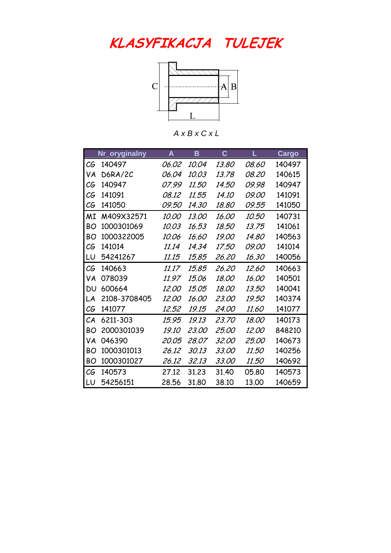

*A x B x C x L*

|           | Nr_oryginalny | A            | в            | $\mathbf c$  | Г            | Cargo  |
|-----------|---------------|--------------|--------------|--------------|--------------|--------|
| СG        | 140497        | <i>06.02</i> | 10.04        | 13.80        | 08.60        | 140497 |
| VA        | D6RA/2C       | <i>06.04</i> | 10.03        | 13.78        | <i>08.20</i> | 140615 |
| СG        | 140947        | <i>07.99</i> | <i>11.50</i> | <i>14.50</i> | 09.98        | 140947 |
| СG        | 141091        | 08.12        | 11.55        | <i>14.10</i> | <i>09.00</i> | 141091 |
| СG        | 141050        | <i>09.50</i> | 14.30        | 18.80        | 09.55        | 141050 |
| ΜI        | M409X32571    | <i>10.00</i> | 13.00        | 16.00        | <i>10.50</i> | 140731 |
| BО        | 1000301069    | 10.03        | 16.53        | 18.50        | 13.75        | 141061 |
| BО        | 1000322005    | 10.06        | 16.60        | <i>19.00</i> | 14.80        | 140563 |
| СG        | 141014        | 11.14        | 14.34        | <i>17.50</i> | <i>09.00</i> | 141014 |
| LU        | 54241267      | 11.15        | 15,85        | 26.20        | 16.30        | 140056 |
| СG        | 140663        | 11.17        | 15.85        | 26.20        | <i>12.60</i> | 140663 |
| VA        | 078039        | <i>11.97</i> | <i>15.06</i> | 18.00        | 16.00        | 140501 |
| <b>DU</b> | 600664        | <i>12.00</i> | <i>15.05</i> | 18.00        | 13.50        | 140041 |
| I.A       | 2108-3708405  | 12.00        | <i>16.00</i> | <i>23.00</i> | 19.50        | 140374 |
| СG        | 141077        | 12,52        | 19.15        | <i>24.00</i> | <i>11.60</i> | 141077 |
| CA        | 6211-303      | 15.95        | 19.13        | 23.70        | 18.00        | 140173 |
| BО        | 2000301039    | <i>19.10</i> | <i>23.00</i> | 25.00        | <i>12.00</i> | 848210 |
| VA        | 046390        | 20.05        | 28.07        | 32.00        | 25.00        | 140673 |
| BО        | 1000301013    | 26.12        | 30.13        | 33.00        | <i>11.50</i> | 140256 |
| BО        | 1000301027    | 26.12        | 32.13        | 33.00        | 11.50        | 140692 |
| CG        | 140573        | 27.12        | 31.23        | 31.40        | 05.80        | 140573 |
| LU        | 54256151      | 28.56        | 31,80        | 38.10        | 13.00        | 140659 |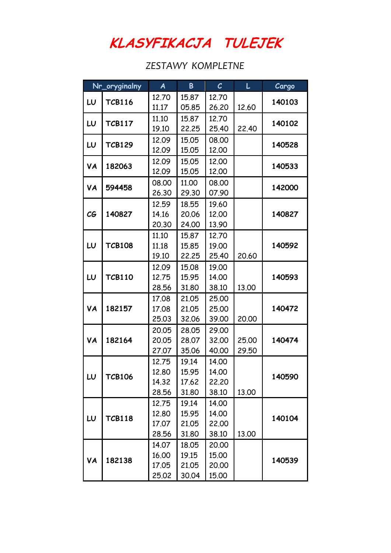**KLASYFIKACJA TULEJEK**

 *ZESTAWY KOMPLETNE*

|     | Nr_oryginalny | $\boldsymbol{A}$ | B              | $\mathcal{C}$  | L     | Cargo  |
|-----|---------------|------------------|----------------|----------------|-------|--------|
| LU  | <b>TCB116</b> | 12.70            | 15.87          | 12.70          |       | 140103 |
|     |               | 11.17            | 05.85          | 26.20          | 12.60 |        |
| LU  | <b>TCB117</b> | 11.10            | 15.87          | 12.70          |       | 140102 |
|     |               | 19.10            | 22.25          | 25.40          | 22,40 |        |
| LU  | <b>TCB129</b> | 12.09            | 15.05          | 08.00          |       | 140528 |
|     |               | 12.09            | 15.05          | 12.00          |       |        |
| VA  | 182063        | 12.09            | 15.05          | 12.00          |       | 140533 |
|     |               | 12.09            | 15.05          | 12.00          |       |        |
| VA  | 594458        | 08,00            | 11.00          | 08.00          |       | 142000 |
|     |               | 26.30<br>12.59   | 29.30          | 07.90          |       |        |
| C G | 140827        | 14.16            | 18.55<br>20.06 | 19.60<br>12.00 |       | 140827 |
|     |               | 20.30            | 24.00          | 13.90          |       |        |
|     |               | 11.10            | 15.87          | 12.70          |       |        |
| LU  | <b>TCB108</b> | 11.18            | 15.85          | 19.00          |       | 140592 |
|     |               | 19.10            | 22.25          | 25.40          | 20.60 |        |
|     |               | 12.09            | 15.08          | 19.00          |       |        |
| LU  | <b>TCB110</b> | 12.75            | 15.95          | 14.00          |       | 140593 |
|     |               | 28.56            | 31.80          | 38.10          | 13.00 |        |
|     |               | 17.08            | 21.05          | 25.00          |       |        |
| VA  | 182157        | 17.08            | 21.05          | 25.00          |       | 140472 |
|     |               | 25.03            | 32.06          | 39.00          | 20.00 |        |
|     |               | 20.05            | 28.05          | 29.00          |       |        |
| VA  | 182164        | 20.05            | 28.07          | 32.00          | 25,00 | 140474 |
|     |               | 27.07            | 35.06          | 40.00          | 29.50 |        |
|     |               | 12.75            | 19.14          | 14.00          |       |        |
| LU  | <b>TCB106</b> | 12.80            | 15.95          | 14.00          |       | 140590 |
|     |               | 14.32            | 17.62          | 22,20          | 13.00 |        |
|     |               | 28.56            | 31.80<br>19.14 | 38.10<br>14.00 |       |        |
|     |               | 12.75<br>12.80   | 15.95          | 14.00          |       |        |
| LU  | <b>TCB118</b> | 17.07            | 21.05          | 22.00          |       | 140104 |
|     |               | 28.56            | 31.80          | 38.10          | 13.00 |        |
|     |               | 14.07            | 18.05          | 20.00          |       |        |
|     |               | 16.00            | 19.15          | 15.00          |       |        |
| VA  | 182138        | 17.05            | 21.05          | 20,00          |       | 140539 |
|     |               | 25.02            | 30.04          | 15.00          |       |        |